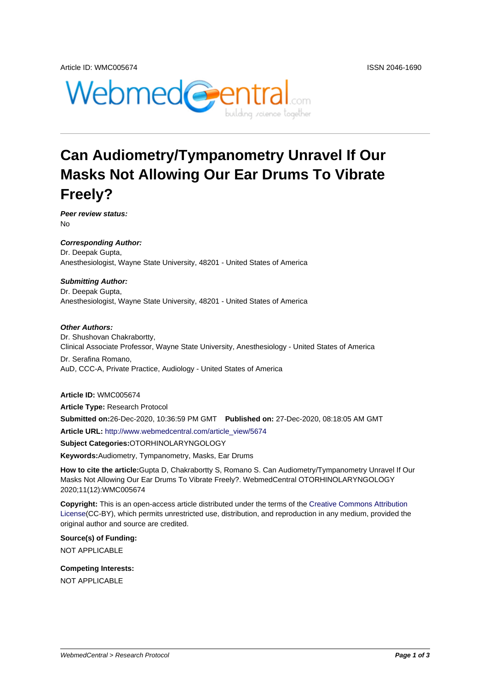

# **Can Audiometry/Tympanometry Unravel If Our Masks Not Allowing Our Ear Drums To Vibrate Freely?**

**Peer review status:** No

**Corresponding Author:** Dr. Deepak Gupta, Anesthesiologist, Wayne State University, 48201 - United States of America

#### **Submitting Author:**

Dr. Deepak Gupta, Anesthesiologist, Wayne State University, 48201 - United States of America

#### **Other Authors:**

Dr. Shushovan Chakrabortty, Clinical Associate Professor, Wayne State University, Anesthesiology - United States of America

Dr. Serafina Romano, AuD, CCC-A, Private Practice, Audiology - United States of America

### **Article ID:** WMC005674

**Article Type:** Research Protocol

**Submitted on:**26-Dec-2020, 10:36:59 PM GMT **Published on:** 27-Dec-2020, 08:18:05 AM GMT

**Article URL:** http://www.webmedcentral.com/article\_view/5674

**Subject Categories:**OTORHINOLARYNGOLOGY

**Keywords:**Audiometry, Tympanometry, Masks, Ear Drums

**How to cite the article:**[Gupta D, Chakrabortty S, Romano S. C](http://www.webmedcentral.com/article_view/5674)an Audiometry/Tympanometry Unravel If Our Masks Not Allowing Our Ear Drums To Vibrate Freely?. WebmedCentral OTORHINOLARYNGOLOGY 2020;11(12):WMC005674

**Copyright:** This is an open-access article distributed under the terms of the Creative Commons Attribution License(CC-BY), which permits unrestricted use, distribution, and reproduction in any medium, provided the original author and source are credited.

**Source(s) of Funding:** [NOT AP](http://creativecommons.org/licenses/by/3.0/)PLICABLE

**Competing Interests:** NOT APPLICABLE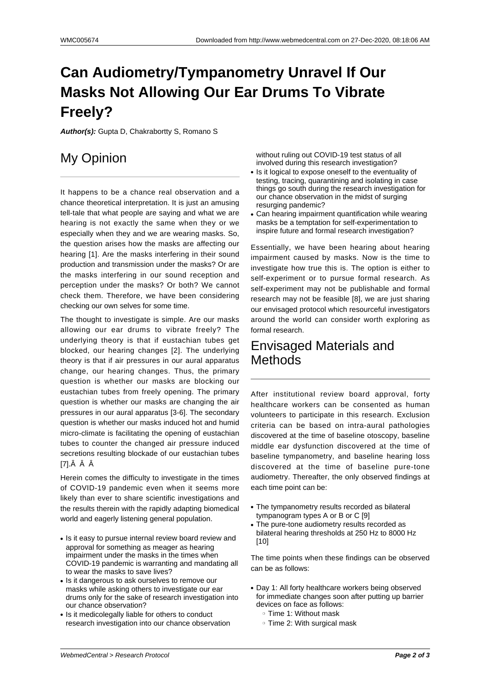# **Can Audiometry/Tympanometry Unravel If Our Masks Not Allowing Our Ear Drums To Vibrate Freely?**

**Author(s):** Gupta D, Chakrabortty S, Romano S

# My Opinion

It happens to be a chance real observation and a chance theoretical interpretation. It is just an amusing tell-tale that what people are saying and what we are hearing is not exactly the same when they or we especially when they and we are wearing masks. So, the question arises how the masks are affecting our hearing [1]. Are the masks interfering in their sound production and transmission under the masks? Or are the masks interfering in our sound reception and perception under the masks? Or both? We cannot check them. Therefore, we have been considering checking our own selves for some time.

The thought to investigate is simple. Are our masks allowing our ear drums to vibrate freely? The underlying theory is that if eustachian tubes get blocked, our hearing changes [2]. The underlying theory is that if air pressures in our aural apparatus change, our hearing changes. Thus, the primary question is whether our masks are blocking our eustachian tubes from freely opening. The primary question is whether our masks are changing the air pressures in our aural apparatus [3-6]. The secondary question is whether our masks induced hot and humid micro-climate is facilitating the opening of eustachian tubes to counter the changed air pressure induced secretions resulting blockade of our eustachian tubes  $I7l.\hat{A}$   $\hat{A}$   $\hat{A}$ 

Herein comes the difficulty to investigate in the times of COVID-19 pandemic even when it seems more likely than ever to share scientific investigations and the results therein with the rapidly adapting biomedical world and eagerly listening general population.

- Is it easy to pursue internal review board review and approval for something as meager as hearing impairment under the masks in the times when COVID-19 pandemic is warranting and mandating all to wear the masks to save lives?
- Is it dangerous to ask ourselves to remove our masks while asking others to investigate our ear drums only for the sake of research investigation into our chance observation?
- Is it medicolegally liable for others to conduct research investigation into our chance observation

without ruling out COVID-19 test status of all involved during this research investigation?

- Is it logical to expose oneself to the eventuality of testing, tracing, quarantining and isolating in case things go south during the research investigation for our chance observation in the midst of surging resurging pandemic?
- Can hearing impairment quantification while wearing masks be a temptation for self-experimentation to inspire future and formal research investigation?

Essentially, we have been hearing about hearing impairment caused by masks. Now is the time to investigate how true this is. The option is either to self-experiment or to pursue formal research. As self-experiment may not be publishable and formal research may not be feasible [8], we are just sharing our envisaged protocol which resourceful investigators around the world can consider worth exploring as formal research.

## Envisaged Materials and Methods

After institutional review board approval, forty healthcare workers can be consented as human volunteers to participate in this research. Exclusion criteria can be based on intra-aural pathologies discovered at the time of baseline otoscopy, baseline middle ear dysfunction discovered at the time of baseline tympanometry, and baseline hearing loss discovered at the time of baseline pure-tone audiometry. Thereafter, the only observed findings at each time point can be:

- The tympanometry results recorded as bilateral tympanogram types A or B or C [9]
- The pure-tone audiometry results recorded as bilateral hearing thresholds at 250 Hz to 8000 Hz [10]

The time points when these findings can be observed can be as follows:

- Day 1: All forty healthcare workers being observed for immediate changes soon after putting up barrier devices on face as follows:
	- ❍ Time 1: Without mask
	- ❍ Time 2: With surgical mask